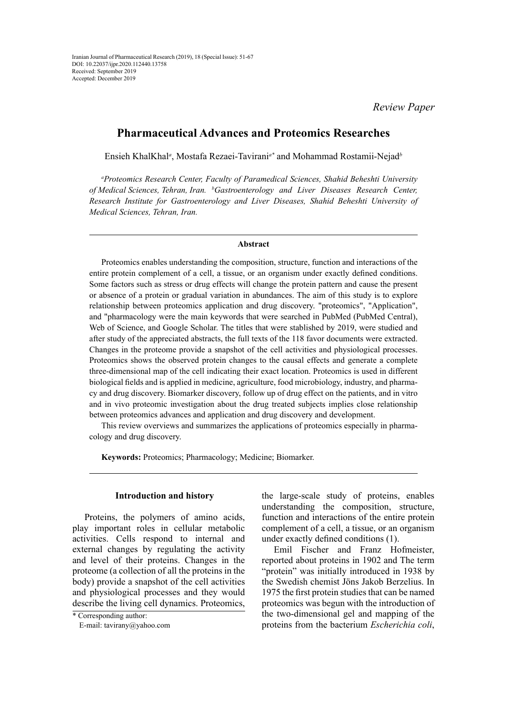*Review Paper*

# **Pharmaceutical Advances and Proteomics Researches**

Ensieh KhalKhal*<sup>a</sup>* , Mostafa Rezaei-Tavirani*a\** and Mohammad Rostamii-Nejad*<sup>b</sup>*

*a Proteomics Research Center, Faculty of Paramedical Sciences, Shahid Beheshti University of Medical Sciences, Tehran, Iran. <sup>b</sup> Gastroenterology and Liver Diseases Research Center, Research Institute for Gastroenterology and Liver Diseases, Shahid Beheshti University of Medical Sciences, Tehran, Iran.*

#### **Abstract**

Proteomics enables understanding the composition, structure, function and interactions of the entire protein complement of a cell, a tissue, or an organism under exactly defined conditions. Some factors such as stress or drug effects will change the protein pattern and cause the present or absence of a protein or gradual variation in abundances. The aim of this study is to explore relationship between proteomics application and drug discovery. "proteomics", "Application", and "pharmacology were the main keywords that were searched in PubMed (PubMed Central), Web of Science, and Google Scholar. The titles that were stablished by 2019, were studied and after study of the appreciated abstracts, the full texts of the 118 favor documents were extracted. Changes in the proteome provide a snapshot of the cell activities and physiological processes. Proteomics shows the observed protein changes to the causal effects and generate a complete three-dimensional map of the cell indicating their exact location. Proteomics is used in different biological fields and is applied in medicine, agriculture, food microbiology, industry, and pharmacy and drug discovery. Biomarker discovery, follow up of drug effect on the patients, and in vitro and in vivo proteomic investigation about the drug treated subjects implies close relationship between proteomics advances and application and drug discovery and development.

This review overviews and summarizes the applications of proteomics especially in pharmacology and drug discovery.

**Keywords:** Proteomics; Pharmacology; Medicine; Biomarker.

#### **Introduction and history**

Proteins, the polymers of amino acids, play important roles in cellular metabolic activities. Cells respond to internal and external changes by regulating the activity and level of their proteins. Changes in the proteome (a collection of all the proteins in the body) provide a snapshot of the cell activities and physiological processes and they would describe the living cell dynamics. Proteomics,

the large-scale study of proteins, enables understanding the composition, structure, function and interactions of the entire protein complement of a cell, a tissue, or an organism under exactly defined conditions (1).

Emil Fischer and Franz Hofmeister, reported about proteins in 1902 and The term "protein" was initially introduced in 1938 by the Swedish chemist Jöns Jakob Berzelius. In 1975 the first protein studies that can be named proteomics was begun with the introduction of the two-dimensional gel and mapping of the proteins from the bacterium *Escherichia coli*,

<sup>\*</sup> Corresponding author: E-mail: tavirany@yahoo.com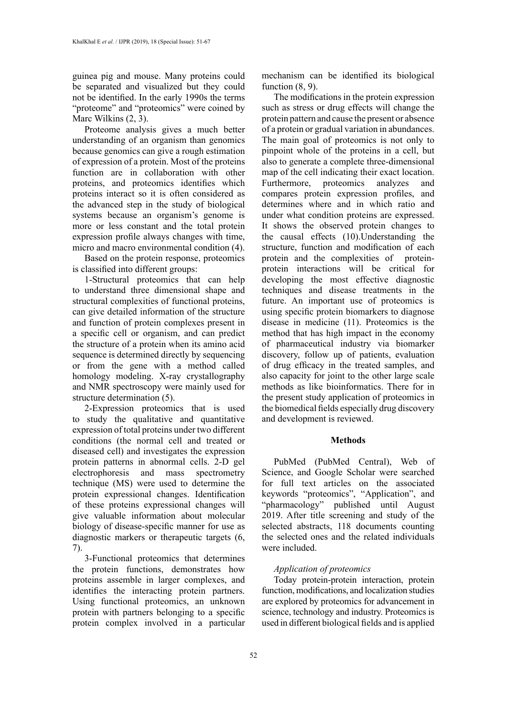guinea pig and mouse. Many proteins could be separated and visualized but they could not be identified. In the early 1990s the terms "proteome" and "proteomics" were coined by Marc Wilkins (2, 3).

Proteome analysis gives a much better understanding of an organism than genomics because genomics can give a rough estimation of expression of a protein. Most of the proteins function are in collaboration with other proteins, and proteomics identifies which proteins interact so it is often considered as the advanced step in the study of biological systems because an organism's genome is more or less constant and the total protein expression profile always changes with time, micro and macro environmental condition (4).

Based on the protein response, proteomics is classified into different groups:

1-Structural proteomics that can help to understand three dimensional shape and structural complexities of functional proteins, can give detailed information of the structure and function of protein complexes present in a specific cell or organism, and can predict the structure of a protein when its amino acid sequence is determined directly by sequencing or from the gene with a method called homology modeling. X-ray crystallography and NMR spectroscopy were mainly used for structure determination (5).

2-Expression proteomics that is used to study the qualitative and quantitative expression of total proteins under two different conditions (the normal cell and treated or diseased cell) and investigates the expression protein patterns in abnormal cells. 2-D gel electrophoresis and mass spectrometry technique (MS) were used to determine the protein expressional changes. Identification of these proteins expressional changes will give valuable information about molecular biology of disease-specific manner for use as diagnostic markers or therapeutic targets (6, 7).

3-Functional proteomics that determines the protein functions, demonstrates how proteins assemble in larger complexes, and identifies the interacting protein partners. Using functional proteomics, an unknown protein with partners belonging to a specific protein complex involved in a particular

mechanism can be identified its biological function  $(8, 9)$ .

The modifications in the protein expression such as stress or drug effects will change the protein pattern and cause the present or absence of a protein or gradual variation in abundances. The main goal of proteomics is not only to pinpoint whole of the proteins in a cell, but also to generate a complete three-dimensional map of the cell indicating their exact location. Furthermore, proteomics analyzes and compares protein expression profiles, and determines where and in which ratio and under what condition proteins are expressed. It shows the observed protein changes to the causal effects (10).Understanding the structure, function and modification of each protein and the complexities of proteinprotein interactions will be critical for developing the most effective diagnostic techniques and disease treatments in the future. An important use of proteomics is using specific protein biomarkers to diagnose disease in medicine (11). Proteomics is the method that has high impact in the economy of pharmaceutical industry via biomarker discovery, follow up of patients, evaluation of drug efficacy in the treated samples, and also capacity for joint to the other large scale methods as like bioinformatics. There for in the present study application of proteomics in the biomedical fields especially drug discovery and development is reviewed.

### **Methods**

PubMed (PubMed Central), Web of Science, and Google Scholar were searched for full text articles on the associated keywords "proteomics", "Application", and "pharmacology" published until August 2019. After title screening and study of the selected abstracts, 118 documents counting the selected ones and the related individuals were included.

## *Application of proteomics*

Today protein-protein interaction, protein function, modifications, and localization studies are explored by proteomics for advancement in science, technology and industry. Proteomics is used in different biological fields and is applied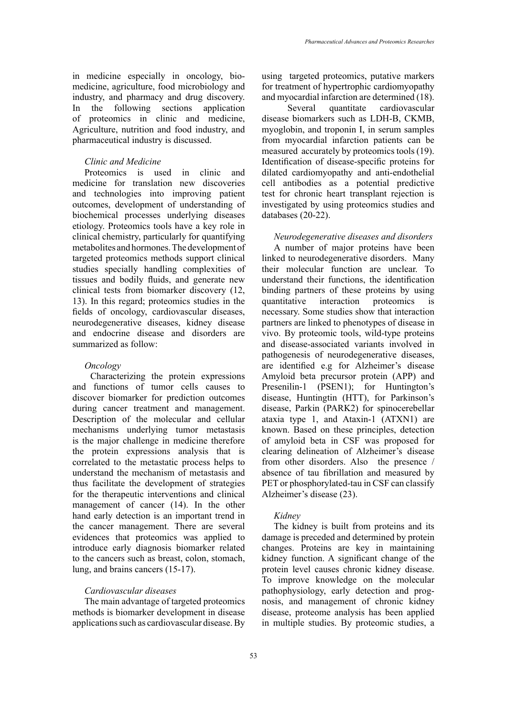in medicine especially in oncology, biomedicine, agriculture, food microbiology and industry, and pharmacy and drug discovery. In the following sections application of proteomics in clinic and medicine, Agriculture, nutrition and food industry, and pharmaceutical industry is discussed.

### *Clinic and Medicine*

Proteomics is used in clinic and medicine for translation new discoveries and technologies into improving patient outcomes, development of understanding of biochemical processes underlying diseases etiology. Proteomics tools have a key role in clinical chemistry, particularly for quantifying metabolites and hormones. The development of targeted proteomics methods support clinical studies specially handling complexities of tissues and bodily fluids, and generate new clinical tests from biomarker discovery (12, 13). In this regard; proteomics studies in the fields of oncology, cardiovascular diseases, neurodegenerative diseases, kidney disease and endocrine disease and disorders are summarized as follow:

#### *Oncology*

 Characterizing the protein expressions and functions of tumor cells causes to discover biomarker for prediction outcomes during cancer treatment and management. Description of the molecular and cellular mechanisms underlying tumor metastasis is the major challenge in medicine therefore the protein expressions analysis that is correlated to the metastatic process helps to understand the mechanism of metastasis and thus facilitate the development of strategies for the therapeutic interventions and clinical management of cancer (14). In the other hand early detection is an important trend in the cancer management. There are several evidences that proteomics was applied to introduce early diagnosis biomarker related to the cancers such as breast, colon, stomach, lung, and brains cancers (15-17).

## *Cardiovascular diseases*

The main advantage of targeted proteomics methods is biomarker development in disease applications such as cardiovascular disease. By using targeted proteomics, putative markers for treatment of hypertrophic cardiomyopathy and myocardial infarction are determined (18).

 Several quantitate cardiovascular disease biomarkers such as LDH-B, CKMB, myoglobin, and troponin I, in serum samples from myocardial infarction patients can be measured accurately by proteomics tools (19). Identification of disease-specific proteins for dilated cardiomyopathy and anti-endothelial cell antibodies as a potential predictive test for chronic heart transplant rejection is investigated by using proteomics studies and databases (20-22).

### *Neurodegenerative diseases and disorders*

A number of major proteins have been linked to neurodegenerative disorders. Many their molecular function are unclear. To understand their functions, the identification binding partners of these proteins by using quantitative interaction proteomics is necessary. Some studies show that interaction partners are linked to phenotypes of disease in vivo. By proteomic tools, wild-type proteins and disease-associated variants involved in pathogenesis of neurodegenerative diseases, are identified e.g for Alzheimer's disease Amyloid beta precursor protein (APP) and Presenilin-1 (PSEN1); for Huntington's disease, Huntingtin (HTT), for Parkinson's disease, Parkin (PARK2) for spinocerebellar ataxia type 1, and Ataxin-1 (ATXN1) are known. Based on these principles, detection of amyloid beta in CSF was proposed for clearing delineation of Alzheimer's disease from other disorders. Also the presence / absence of tau fibrillation and measured by PET or phosphorylated-tau in CSF can classify Alzheimer's disease (23).

#### *Kidney*

The kidney is built from proteins and its damage is preceded and determined by protein changes. Proteins are key in maintaining kidney function. A significant change of the protein level causes chronic kidney disease. To improve knowledge on the molecular pathophysiology, early detection and prognosis, and management of chronic kidney disease, proteome analysis has been applied in multiple studies. By proteomic studies, a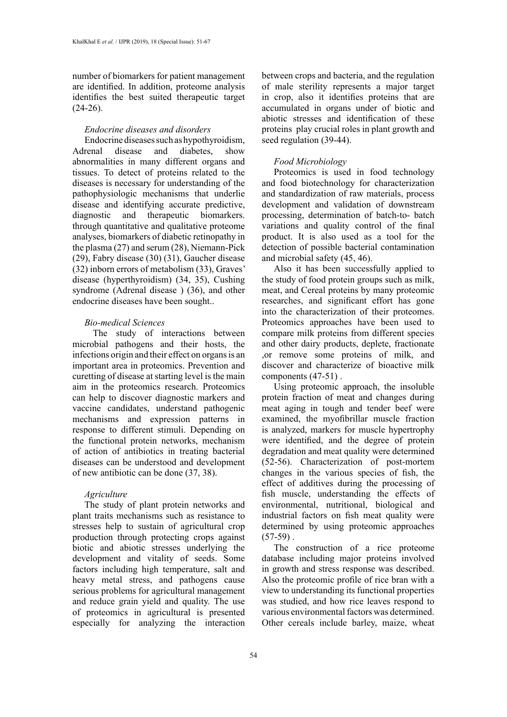number of biomarkers for patient management are identified. In addition, proteome analysis identifies the best suited therapeutic target  $(24-26)$ .

# *Endocrine diseases and disorders*

Endocrine diseases such as hypothyroidism, Adrenal disease and diabetes, show abnormalities in many different organs and tissues. To detect of proteins related to the diseases is necessary for understanding of the pathophysiologic mechanisms that underlie disease and identifying accurate predictive, diagnostic and therapeutic biomarkers. through quantitative and qualitative proteome analyses, biomarkers of diabetic retinopathy in the plasma (27) and serum (28), Niemann-Pick (29), Fabry disease (30) (31), Gaucher disease (32) inborn errors of metabolism (33), Graves' disease (hyperthyroidism) (34, 35), Cushing syndrome (Adrenal disease ) (36), and other endocrine diseases have been sought..

### *Bio-medical Sciences*

 The study of interactions between microbial pathogens and their hosts, the infections origin and their effect on organs is an important area in proteomics. Prevention and curetting of disease at starting level is the main aim in the proteomics research. Proteomics can help to discover diagnostic markers and vaccine candidates, understand pathogenic mechanisms and expression patterns in response to different stimuli. Depending on the functional protein networks, mechanism of action of antibiotics in treating bacterial diseases can be understood and development of new antibiotic can be done (37, 38).

#### *Agriculture*

The study of plant protein networks and plant traits mechanisms such as resistance to stresses help to sustain of agricultural crop production through protecting crops against biotic and abiotic stresses underlying the development and vitality of seeds. Some factors including high temperature, salt and heavy metal stress, and pathogens cause serious problems for agricultural management and reduce grain yield and quality. The use of proteomics in agricultural is presented especially for analyzing the interaction

between crops and bacteria, and the regulation of male sterility represents a major target in crop, also it identifies proteins that are accumulated in organs under of biotic and abiotic stresses and identification of these proteins play crucial roles in plant growth and seed regulation (39-44).

### *Food Microbiology*

Proteomics is used in food technology and food biotechnology for characterization and standardization of raw materials, process development and validation of downstream processing, determination of batch-to- batch variations and quality control of the final product. It is also used as a tool for the detection of possible bacterial contamination and microbial safety (45, 46).

Also it has been successfully applied to the study of food protein groups such as milk, meat, and Cereal proteins by many proteomic researches, and significant effort has gone into the characterization of their proteomes. Proteomics approaches have been used to compare milk proteins from different species and other dairy products, deplete, fractionate ,or remove some proteins of milk, and discover and characterize of bioactive milk components (47-51) .

Using proteomic approach, the insoluble protein fraction of meat and changes during meat aging in tough and tender beef were examined, the myofibrillar muscle fraction is analyzed, markers for muscle hypertrophy were identified, and the degree of protein degradation and meat quality were determined (52-56). Characterization of post-mortem changes in the various species of fish, the effect of additives during the processing of fish muscle, understanding the effects of environmental, nutritional, biological and industrial factors on fish meat quality were determined by using proteomic approaches  $(57-59)$ .

The construction of a rice proteome database including major proteins involved in growth and stress response was described. Also the proteomic profile of rice bran with a view to understanding its functional properties was studied, and how rice leaves respond to various environmental factors was determined. Other cereals include barley, maize, wheat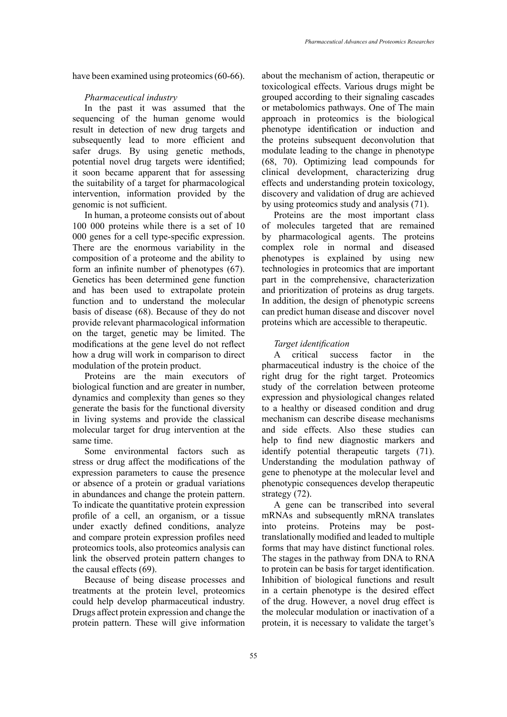have been examined using proteomics (60-66).

### *Pharmaceutical industry*

In the past it was assumed that the sequencing of the human genome would result in detection of new drug targets and subsequently lead to more efficient and safer drugs. By using genetic methods, potential novel drug targets were identified; it soon became apparent that for assessing the suitability of a target for pharmacological intervention, information provided by the genomic is not sufficient.

In human, a proteome consists out of about 100 000 proteins while there is a set of 10 000 genes for a cell type-specific expression. There are the enormous variability in the composition of a proteome and the ability to form an infinite number of phenotypes (67). Genetics has been determined gene function and has been used to extrapolate protein function and to understand the molecular basis of disease (68). Because of they do not provide relevant pharmacological information on the target, genetic may be limited. The modifications at the gene level do not reflect how a drug will work in comparison to direct modulation of the protein product.

Proteins are the main executors of biological function and are greater in number, dynamics and complexity than genes so they generate the basis for the functional diversity in living systems and provide the classical molecular target for drug intervention at the same time.

Some environmental factors such as stress or drug affect the modifications of the expression parameters to cause the presence or absence of a protein or gradual variations in abundances and change the protein pattern. To indicate the quantitative protein expression profile of a cell, an organism, or a tissue under exactly defined conditions, analyze and compare protein expression profiles need proteomics tools, also proteomics analysis can link the observed protein pattern changes to the causal effects (69).

Because of being disease processes and treatments at the protein level, proteomics could help develop pharmaceutical industry. Drugs affect protein expression and change the protein pattern. These will give information about the mechanism of action, therapeutic or toxicological effects. Various drugs might be grouped according to their signaling cascades or metabolomics pathways. One of The main approach in proteomics is the biological phenotype identification or induction and the proteins subsequent deconvolution that modulate leading to the change in phenotype (68, 70). Optimizing lead compounds for clinical development, characterizing drug effects and understanding protein toxicology, discovery and validation of drug are achieved by using proteomics study and analysis (71).

Proteins are the most important class of molecules targeted that are remained by pharmacological agents. The proteins complex role in normal and diseased phenotypes is explained by using new technologies in proteomics that are important part in the comprehensive, characterization and prioritization of proteins as drug targets. In addition, the design of phenotypic screens can predict human disease and discover novel proteins which are accessible to therapeutic.

### *Target identification*

A critical success factor in the pharmaceutical industry is the choice of the right drug for the right target. Proteomics study of the correlation between proteome expression and physiological changes related to a healthy or diseased condition and drug mechanism can describe disease mechanisms and side effects. Also these studies can help to find new diagnostic markers and identify potential therapeutic targets (71). Understanding the modulation pathway of gene to phenotype at the molecular level and phenotypic consequences develop therapeutic strategy (72).

A gene can be transcribed into several mRNAs and subsequently mRNA translates into proteins. Proteins may be posttranslationally modified and leaded to multiple forms that may have distinct functional roles. The stages in the pathway from DNA to RNA to protein can be basis for target identification. Inhibition of biological functions and result in a certain phenotype is the desired effect of the drug. However, a novel drug effect is the molecular modulation or inactivation of a protein, it is necessary to validate the target's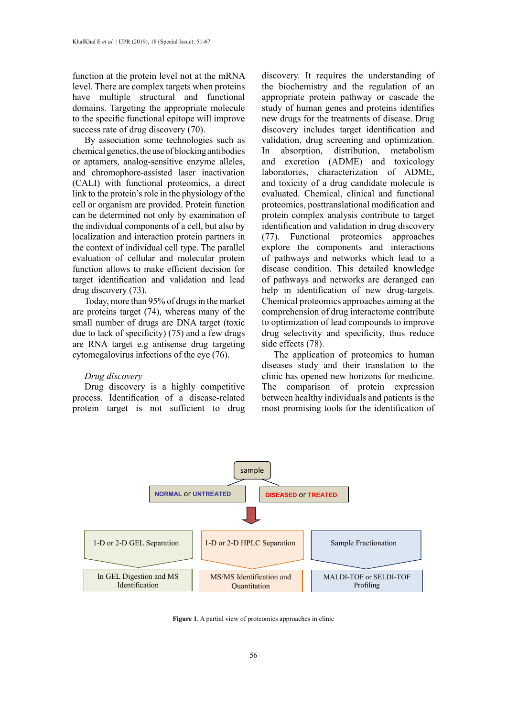function at the protein level not at the mRNA level. There are complex targets when proteins have multiple structural and functional domains. Targeting the appropriate molecule to the specific functional epitope will improve success rate of drug discovery (70).

By association some technologies such as chemical genetics, the use of blocking antibodies or aptamers, analog-sensitive enzyme alleles, and chromophore-assisted laser inactivation (CALI) with functional proteomics, a direct link to the protein's role in the physiology of the cell or organism are provided. Protein function can be determined not only by examination of the individual components of a cell, but also by localization and interaction protein partners in the context of individual cell type. The parallel evaluation of cellular and molecular protein function allows to make efficient decision for target identification and validation and lead drug discovery (73).

Today, more than 95% of drugs in the market are proteins target (74), whereas many of the small number of drugs are DNA target (toxic due to lack of specificity) (75) and a few drugs are RNA target e.g antisense drug targeting cytomegalovirus infections of the eye (76).

#### *Drug discovery*

Drug discovery is a highly competitive process. Identification of a disease-related protein target is not sufficient to drug

discovery. It requires the understanding of the biochemistry and the regulation of an appropriate protein pathway or cascade the study of human genes and proteins identifies new drugs for the treatments of disease. Drug discovery includes target identification and validation, drug screening and optimization. In absorption, distribution, metabolism and excretion (ADME) and toxicology laboratories, characterization of ADME, and toxicity of a drug candidate molecule is evaluated. Chemical, clinical and functional proteomics, posttranslational modification and protein complex analysis contribute to target identification and validation in drug discovery (77). Functional proteomics approaches explore the components and interactions of pathways and networks which lead to a disease condition. This detailed knowledge of pathways and networks are deranged can help in identification of new drug-targets. Chemical proteomics approaches aiming at the comprehension of drug interactome contribute to optimization of lead compounds to improve drug selectivity and specificity, thus reduce side effects (78).

The application of proteomics to human diseases study and their translation to the clinic has opened new horizons for medicine. The comparison of protein expression between healthy individuals and patients is the most promising tools for the identification of



**Figure 1**. A partial view of proteomics approaches in clinic. **Figure 1**. A partial view of proteomics approaches in clinic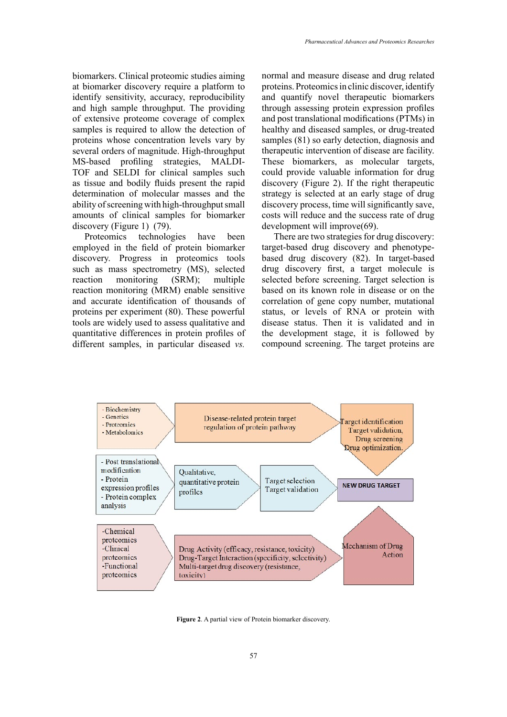biomarkers. Clinical proteomic studies aiming at biomarker discovery require a platform to identify sensitivity, accuracy, reproducibility and high sample throughput. The providing of extensive proteome coverage of complex samples is required to allow the detection of proteins whose concentration levels vary by several orders of magnitude. High-throughput MS-based profiling strategies, MALDI-TOF and SELDI for clinical samples such as tissue and bodily fluids present the rapid determination of molecular masses and the ability of screening with high-throughput small amounts of clinical samples for biomarker discovery (Figure 1) (79).

Proteomics technologies have been employed in the field of protein biomarker discovery. Progress in proteomics tools such as mass spectrometry (MS), selected reaction monitoring (SRM); multiple reaction monitoring (MRM) enable sensitive and accurate identification of thousands of proteins per experiment (80). These powerful tools are widely used to assess qualitative and quantitative differences in protein profiles of different samples, in particular diseased *vs.* 

normal and measure disease and drug related proteins. Proteomics in clinic discover, identify and quantify novel therapeutic biomarkers through assessing protein expression profiles and post translational modifications (PTMs) in healthy and diseased samples, or drug-treated samples (81) so early detection, diagnosis and therapeutic intervention of disease are facility. These biomarkers, as molecular targets, could provide valuable information for drug discovery (Figure 2). If the right therapeutic strategy is selected at an early stage of drug discovery process, time will significantly save, costs will reduce and the success rate of drug development will improve(69).

There are two strategies for drug discovery: target-based drug discovery and phenotypebased drug discovery (82). In target-based drug discovery first, a target molecule is selected before screening. Target selection is based on its known role in disease or on the correlation of gene copy number, mutational status, or levels of RNA or protein with disease status. Then it is validated and in the development stage, it is followed by compound screening. The target proteins are



**Figure 2**. A partial view of Protein biomarker discovery.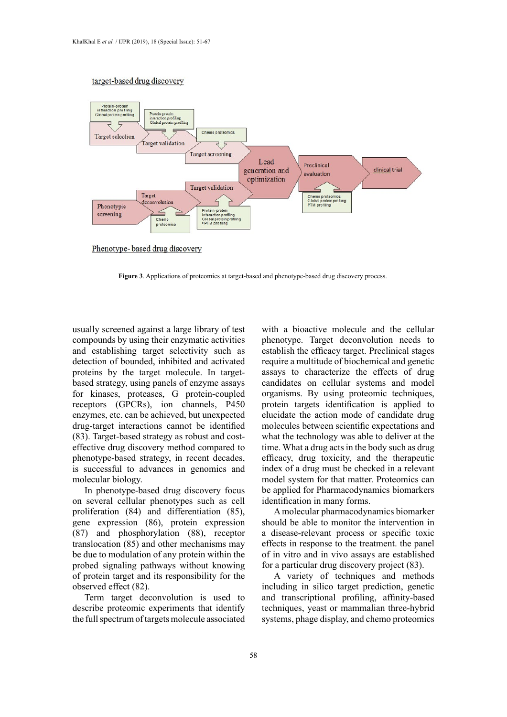#### target-based drug discovery



Phenotype-based drug discovery

**Figure 3**. Applications of proteomics at target-based and phenotype-based drug discovery **Figure 3**. Applications of proteomics at target-based and phenotype-based drug discovery process.

usually screened against a large library of test compounds by using their enzymatic activities and establishing target selectivity such as detection of bounded, inhibited and activated proteins by the target molecule. In targetbased strategy, using panels of enzyme assays for kinases, proteases, G protein-coupled receptors (GPCRs), ion channels, P450 enzymes, etc. can be achieved, but unexpected drug-target interactions cannot be identified (83). Target-based strategy as robust and costeffective drug discovery method compared to phenotype-based strategy, in recent decades, is successful to advances in genomics and molecular biology.

In phenotype-based drug discovery focus on several cellular phenotypes such as cell proliferation (84) and differentiation (85), gene expression (86), protein expression (87) and phosphorylation (88), receptor translocation (85) and other mechanisms may be due to modulation of any protein within the probed signaling pathways without knowing of protein target and its responsibility for the observed effect (82).

Term target deconvolution is used to describe proteomic experiments that identify the full spectrum of targets molecule associated

with a bioactive molecule and the cellular phenotype. Target deconvolution needs to establish the efficacy target. Preclinical stages require a multitude of biochemical and genetic assays to characterize the effects of drug candidates on cellular systems and model organisms. By using proteomic techniques, protein targets identification is applied to elucidate the action mode of candidate drug molecules between scientific expectations and what the technology was able to deliver at the time. What a drug acts in the body such as drug efficacy, drug toxicity, and the therapeutic index of a drug must be checked in a relevant model system for that matter. Proteomics can be applied for Pharmacodynamics biomarkers identification in many forms.

A molecular pharmacodynamics biomarker should be able to monitor the intervention in a disease-relevant process or specific toxic effects in response to the treatment. the panel of in vitro and in vivo assays are established for a particular drug discovery project (83).

A variety of techniques and methods including in silico target prediction, genetic and transcriptional profiling, affinity-based techniques, yeast or mammalian three-hybrid systems, phage display, and chemo proteomics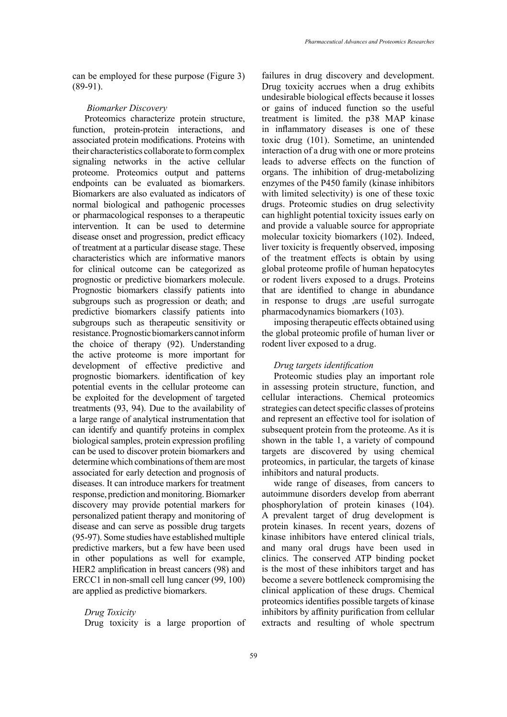can be employed for these purpose (Figure 3)  $(89-91)$ .

### *Biomarker Discovery*

Proteomics characterize protein structure, function, protein-protein interactions, and associated protein modifications. Proteins with their characteristics collaborate to form complex signaling networks in the active cellular proteome. Proteomics output and patterns endpoints can be evaluated as biomarkers. Biomarkers are also evaluated as indicators of normal biological and pathogenic processes or pharmacological responses to a therapeutic intervention. It can be used to determine disease onset and progression, predict efficacy of treatment at a particular disease stage. These characteristics which are informative manors for clinical outcome can be categorized as prognostic or predictive biomarkers molecule. Prognostic biomarkers classify patients into subgroups such as progression or death; and predictive biomarkers classify patients into subgroups such as therapeutic sensitivity or resistance. Prognostic biomarkers cannot inform the choice of therapy (92). Understanding the active proteome is more important for development of effective predictive and prognostic biomarkers. identification of key potential events in the cellular proteome can be exploited for the development of targeted treatments (93, 94). Due to the availability of a large range of analytical instrumentation that can identify and quantify proteins in complex biological samples, protein expression profiling can be used to discover protein biomarkers and determine which combinations of them are most associated for early detection and prognosis of diseases. It can introduce markers for treatment response, prediction and monitoring. Biomarker discovery may provide potential markers for personalized patient therapy and monitoring of disease and can serve as possible drug targets (95-97). Some studies have established multiple predictive markers, but a few have been used in other populations as well for example, HER2 amplification in breast cancers (98) and ERCC1 in non-small cell lung cancer (99, 100) are applied as predictive biomarkers.

# *Drug Toxicity*

Drug toxicity is a large proportion of

failures in drug discovery and development. Drug toxicity accrues when a drug exhibits undesirable biological effects because it losses or gains of induced function so the useful treatment is limited. the p38 MAP kinase in inflammatory diseases is one of these toxic drug (101). Sometime, an unintended interaction of a drug with one or more proteins leads to adverse effects on the function of organs. The inhibition of drug-metabolizing enzymes of the P450 family (kinase inhibitors with limited selectivity) is one of these toxic drugs. Proteomic studies on drug selectivity can highlight potential toxicity issues early on and provide a valuable source for appropriate molecular toxicity biomarkers (102). Indeed, liver toxicity is frequently observed, imposing of the treatment effects is obtain by using global proteome profile of human hepatocytes or rodent livers exposed to a drugs. Proteins that are identified to change in abundance in response to drugs ,are useful surrogate pharmacodynamics biomarkers (103).

imposing therapeutic effects obtained using the global proteomic profile of human liver or rodent liver exposed to a drug.

### *Drug targets identification*

Proteomic studies play an important role in assessing protein structure, function, and cellular interactions. Chemical proteomics strategies can detect specific classes of proteins and represent an effective tool for isolation of subsequent protein from the proteome. As it is shown in the table 1, a variety of compound targets are discovered by using chemical proteomics, in particular, the targets of kinase inhibitors and natural products.

wide range of diseases, from cancers to autoimmune disorders develop from aberrant phosphorylation of protein kinases (104). A prevalent target of drug development is protein kinases. In recent years, dozens of kinase inhibitors have entered clinical trials, and many oral drugs have been used in clinics. The conserved ATP binding pocket is the most of these inhibitors target and has become a severe bottleneck compromising the clinical application of these drugs. Chemical proteomics identifies possible targets of kinase inhibitors by affinity purification from cellular extracts and resulting of whole spectrum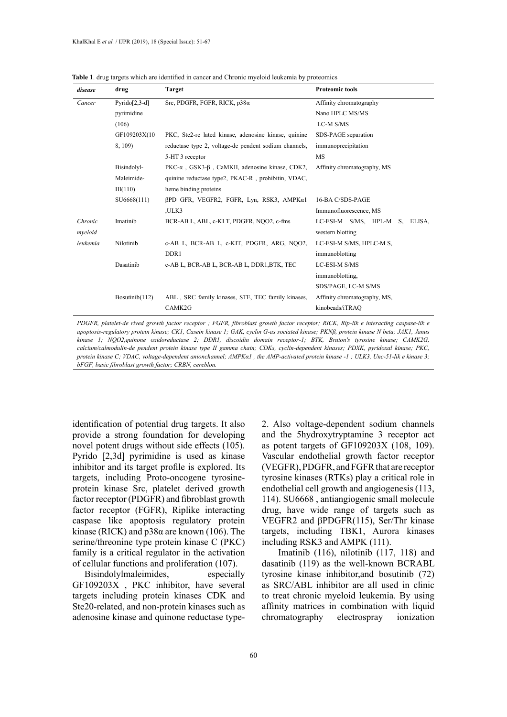| disease            | drug              | <b>Target</b>                                                   | <b>Proteomic tools</b>                                |
|--------------------|-------------------|-----------------------------------------------------------------|-------------------------------------------------------|
| Cancer             | $Pyrido[2,3-d]$   | Src. PDGFR, FGFR, RICK, $p38\alpha$                             | Affinity chromatography                               |
|                    | pyrimidine        |                                                                 | Nano HPLC MS/MS                                       |
|                    | (106)             |                                                                 | LC-M S/MS                                             |
|                    | GF109203X(10      | PKC, Ste2-re lated kinase, adenosine kinase, quinine            | SDS-PAGE separation                                   |
|                    | 8, 109)           | reductase type 2, voltage-de pendent sodium channels,           | immunoprecipitation                                   |
|                    |                   | 5-HT 3 receptor                                                 | <b>MS</b>                                             |
|                    | Bisindolyl-       | PKC- $\alpha$ , GSK3- $\beta$ , CaMKII, adenosine kinase, CDK2, | Affinity chromatography, MS                           |
|                    | Maleimide-        | quinine reductase type2, PKAC-R, prohibitin, VDAC,              |                                                       |
|                    | III(110)          | heme binding proteins                                           |                                                       |
|                    | SU6668(111)       | βPD GFR, VEGFR2, FGFR, Lyn, RSK3, AMPKα1                        | 16-BA C/SDS-PAGE                                      |
|                    |                   | ,ULK3                                                           | Immunofluorescence, MS                                |
| Chronic<br>mveloid | Imatinib          | BCR-AB L, ABL, c-KI T, PDGFR, NOO2, c-fms                       | LC-ESI-M S/MS, HPL-M<br>S. ELISA.<br>western blotting |
| leukemia           | Nilotinib         | c-AB L, BCR-AB L, c-KIT, PDGFR, ARG, NOO2,                      | LC-ESI-M S/MS, HPLC-M S,                              |
|                    |                   | DDR1                                                            | immunoblotting                                        |
|                    | Dasatinib         | c-AB L, BCR-AB L, BCR-AB L, DDR1, BTK, TEC                      | LC-ESI-M S/MS                                         |
|                    |                   |                                                                 | immunoblotting,                                       |
|                    |                   |                                                                 | SDS/PAGE, LC-M S/MS                                   |
|                    | Bosutini $b(112)$ | ABL, SRC family kinases, STE, TEC family kinases,               | Affinity chromatography, MS,                          |
|                    |                   | CAMK2G                                                          | kinobeads/iTRAQ                                       |

**Table 1**. drug targets which are identified in cancer and Chronic myeloid leukemia by proteomics

*PDGFR, platelet-de rived growth factor receptor ; FGFR, fibroblast growth factor receptor; RICK, Rip-lik e interacting caspase-lik e apoptosis-regulatory protein kinase; CK1, Casein kinase 1; GAK, cyclin G-as sociated kinase; PKNβ, protein kinase N beta; JAK1, Janus kinase 1; NQO2,quinone oxidoreductase 2; DDR1, discoidin domain receptor-1; BTK, Bruton's tyrosine kinase; CAMK2G, calcium/calmodulin-de pendent protein kinase type II gamma chain; CDKs, cyclin-dependent kinases; PDXK, pyridoxal kinase; PKC, protein kinase C; VDAC, voltage-dependent anionchannel; AMPKα1 , the AMP-activated protein kinase -1 ; ULK3, Unc-51-lik e kinase 3; bFGF, basic fibroblast growth factor; CRBN, cereblon.*

identification of potential drug targets. It also provide a strong foundation for developing novel potent drugs without side effects (105). Pyrido [2,3d] pyrimidine is used as kinase inhibitor and its target profile is explored. Its targets, including Proto-oncogene tyrosineprotein kinase Src, platelet derived growth factor receptor (PDGFR) and fibroblast growth factor receptor (FGFR), Riplike interacting caspase like apoptosis regulatory protein kinase (RICK) and  $p38\alpha$  are known (106). The serine/threonine type protein kinase C (PKC) family is a critical regulator in the activation of cellular functions and proliferation (107).

Bisindolylmaleimides, especially GF109203X , PKC inhibitor, have several targets including protein kinases CDK and Ste20-related, and non-protein kinases such as adenosine kinase and quinone reductase type2. Also voltage-dependent sodium channels and the 5hydroxytryptamine 3 receptor act as potent targets of GF109203X (108, 109). Vascular endothelial growth factor receptor (VEGFR), PDGFR, and FGFR that are receptor tyrosine kinases (RTKs) play a critical role in endothelial cell growth and angiogenesis (113, 114). SU6668 , antiangiogenic small molecule drug, have wide range of targets such as VEGFR2 and βPDGFR(115), Ser/Thr kinase targets, including TBK1, Aurora kinases including RSK3 and AMPK (111).

 Imatinib (116), nilotinib (117, 118) and dasatinib (119) as the well-known BCRABL tyrosine kinase inhibitor,and bosutinib (72) as SRC/ABL inhibitor are all used in clinic to treat chronic myeloid leukemia. By using affinity matrices in combination with liquid chromatography electrospray ionization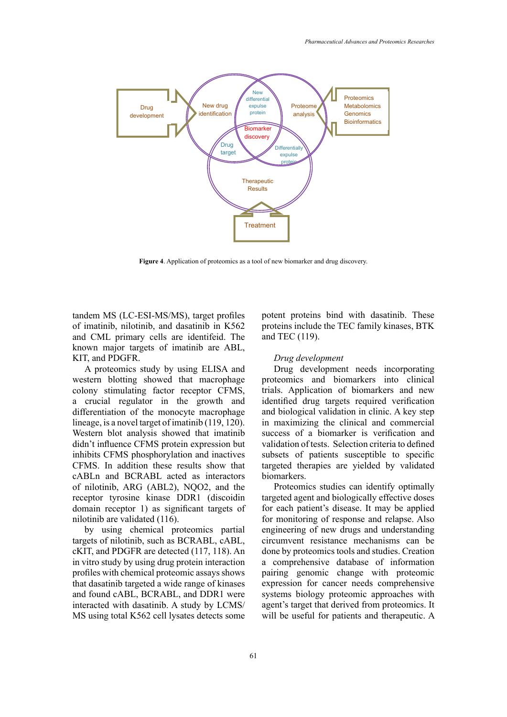

**Figure 4**. Application of proteomics as a tool of new biomarker and drug discovery.

tandem MS (LC-ESI-MS/MS), target profiles of imatinib, nilotinib, and dasatinib in K562 and CML primary cells are identifeid. The known major targets of imatinib are ABL, KIT, and PDGFR.

A proteomics study by using ELISA and western blotting showed that macrophage colony stimulating factor receptor CFMS, a crucial regulator in the growth and differentiation of the monocyte macrophage lineage, is a novel target of imatinib (119, 120). Western blot analysis showed that imatinib didn't influence CFMS protein expression but inhibits CFMS phosphorylation and inactives CFMS. In addition these results show that cABLn and BCRABL acted as interactors of nilotinib, ARG (ABL2), NQO2, and the receptor tyrosine kinase DDR1 (discoidin domain receptor 1) as significant targets of nilotinib are validated (116).

by using chemical proteomics partial targets of nilotinib, such as BCRABL, cABL, cKIT, and PDGFR are detected (117, 118). An in vitro study by using drug protein interaction profiles with chemical proteomic assays shows that dasatinib targeted a wide range of kinases and found cABL, BCRABL, and DDR1 were interacted with dasatinib. A study by LCMS/ MS using total K562 cell lysates detects some

potent proteins bind with dasatinib. These proteins include the TEC family kinases, BTK and TEC (119).

#### *Drug development*

Drug development needs incorporating proteomics and biomarkers into clinical trials. Application of biomarkers and new identified drug targets required verification and biological validation in clinic. A key step in maximizing the clinical and commercial success of a biomarker is verification and validation of tests. Selection criteria to defined subsets of patients susceptible to specific targeted therapies are yielded by validated biomarkers.

Proteomics studies can identify optimally targeted agent and biologically effective doses for each patient's disease. It may be applied for monitoring of response and relapse. Also engineering of new drugs and understanding circumvent resistance mechanisms can be done by proteomics tools and studies. Creation a comprehensive database of information pairing genomic change with proteomic expression for cancer needs comprehensive systems biology proteomic approaches with agent's target that derived from proteomics. It will be useful for patients and therapeutic. A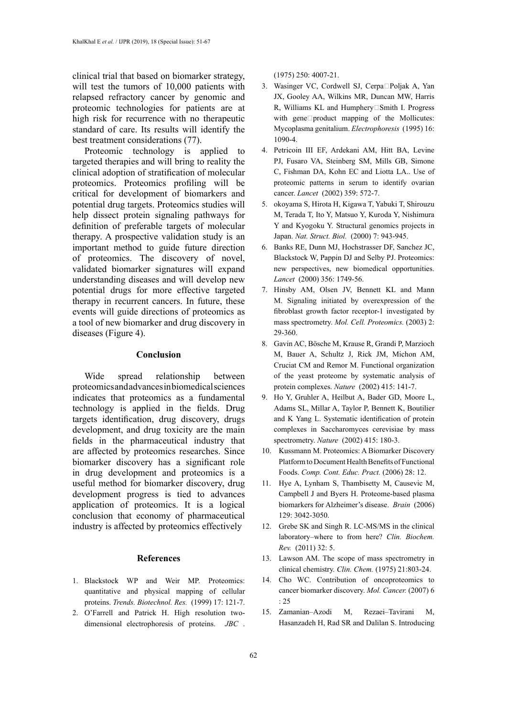clinical trial that based on biomarker strategy, will test the tumors of 10,000 patients with relapsed refractory cancer by genomic and proteomic technologies for patients are at high risk for recurrence with no therapeutic standard of care. Its results will identify the best treatment considerations (77).

Proteomic technology is applied to targeted therapies and will bring to reality the clinical adoption of stratification of molecular proteomics. Proteomics profiling will be critical for development of biomarkers and potential drug targets. Proteomics studies will help dissect protein signaling pathways for definition of preferable targets of molecular therapy. A prospective validation study is an important method to guide future direction of proteomics. The discovery of novel, validated biomarker signatures will expand understanding diseases and will develop new potential drugs for more effective targeted therapy in recurrent cancers. In future, these events will guide directions of proteomics as a tool of new biomarker and drug discovery in diseases (Figure 4).

### **Conclusion**

Wide spread relationship between proteomics and advances in biomedical sciences indicates that proteomics as a fundamental technology is applied in the fields. Drug targets identification, drug discovery, drugs development, and drug toxicity are the main fields in the pharmaceutical industry that are affected by proteomics researches. Since biomarker discovery has a significant role in drug development and proteomics is a useful method for biomarker discovery, drug development progress is tied to advances application of proteomics. It is a logical conclusion that economy of pharmaceutical industry is affected by proteomics effectively

#### **References**

- 1. Blackstock WP and Weir MP. Proteomics: quantitative and physical mapping of cellular proteins. *Trends. Biotechnol. Res.* (1999) 17: 121-7.
- 2. O'Farrell and Patrick H. High resolution twodimensional electrophoresis of proteins. *JBC* .

(1975) 250: 4007-21.

- 3. Wasinger VC, Cordwell SJ, Cerpa□Poljak A, Yan JX, Gooley AA, Wilkins MR, Duncan MW, Harris R, Williams KL and Humphery□Smith I. Progress with gene $\square$ product mapping of the Mollicutes: Mycoplasma genitalium. *Electrophoresis* (1995) 16: 1090-4.
- 4. Petricoin III EF, Ardekani AM, Hitt BA, Levine PJ, Fusaro VA, Steinberg SM, Mills GB, Simone C, Fishman DA, Kohn EC and Liotta LA.. Use of proteomic patterns in serum to identify ovarian cancer. *Lancet* (2002) 359: 572-7.
- 5. okoyama S, Hirota H, Kigawa T, Yabuki T, Shirouzu M, Terada T, Ito Y, Matsuo Y, Kuroda Y, Nishimura Y and Kyogoku Y. Structural genomics projects in Japan. *Nat. Struct. Biol.* (2000) 7: 943-945.
- 6. Banks RE, Dunn MJ, Hochstrasser DF, Sanchez JC, Blackstock W, Pappin DJ and Selby PJ. Proteomics: new perspectives, new biomedical opportunities. *Lancet* (2000) 356: 1749-56.
- 7. Hinsby AM, Olsen JV, Bennett KL and Mann M. Signaling initiated by overexpression of the fibroblast growth factor receptor-1 investigated by mass spectrometry. *Mol. Cell. Proteomics.* (2003) 2: 29-360.
- 8. Gavin AC, Bösche M, Krause R, Grandi P, Marzioch M, Bauer A, Schultz J, Rick JM, Michon AM, Cruciat CM and Remor M. Functional organization of the yeast proteome by systematic analysis of protein complexes. *Nature* (2002) 415: 141-7.
- 9. Ho Y, Gruhler A, Heilbut A, Bader GD, Moore L, Adams SL, Millar A, Taylor P, Bennett K, Boutilier and K Yang L. Systematic identification of protein complexes in Saccharomyces cerevisiae by mass spectrometry. *Nature* (2002) 415: 180-3.
- 10. Kussmann M. Proteomics: A Biomarker Discovery Platform to Document Health Benefits of Functional Foods. *Comp. Cont. Educ. Pract.* (2006) 28: 12.
- 11. Hye A, Lynham S, Thambisetty M, Causevic M, Campbell J and Byers H. Proteome-based plasma biomarkers for Alzheimer's disease. *Brain* (2006) 129: 3042-3050.
- 12. Grebe SK and Singh R. LC-MS/MS in the clinical laboratory–where to from here? *Clin. Biochem. Rev.* (2011) 32: 5.
- 13. Lawson AM. The scope of mass spectrometry in clinical chemistry. *Clin. Chem.* (1975) 21:803-24.
- 14. Cho WC. Contribution of oncoproteomics to cancer biomarker discovery. *Mol. Cancer.* (2007) 6  $.25$
- 15. Zamanian–Azodi M, Rezaei–Tavirani M, Hasanzadeh H, Rad SR and Dalilan S. Introducing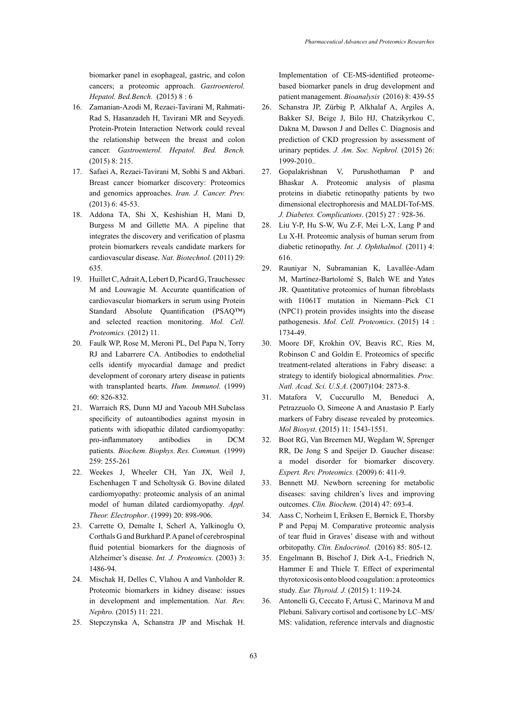biomarker panel in esophageal, gastric, and colon cancers; a proteomic approach. *Gastroenterol. Hepatol. Bed.Bench.* (2015) 8 : 6

- 16. Zamanian-Azodi M, Rezaei-Tavirani M, Rahmati-Rad S, Hasanzadeh H, Tavirani MR and Seyyedi. Protein-Protein Interaction Network could reveal the relationship between the breast and colon cancer. *Gastroenterol. Hepatol. Bed. Bench.* (2015) 8: 215.
- 17. Safaei A, Rezaei-Tavirani M, Sobhi S and Akbari. Breast cancer biomarker discovery: Proteomics and genomics approaches. *Iran. J. Cancer. Prev.* (2013) 6: 45-53.
- 18. Addona TA, Shi X, Keshishian H, Mani D, Burgess M and Gillette MA. A pipeline that integrates the discovery and verification of plasma protein biomarkers reveals candidate markers for cardiovascular disease. *Nat. Biotechnol.* (2011) 29: 635.
- 19. Huillet C, Adrait A, Lebert D, Picard G, Trauchessec M and Louwagie M. Accurate quantification of cardiovascular biomarkers in serum using Protein Standard Absolute Quantification (PSAQ™) and selected reaction monitoring. *Mol. Cell. Proteomics.* (2012) 11.
- 20. Faulk WP, Rose M, Meroni PL, Del Papa N, Torry RJ and Labarrere CA. Antibodies to endothelial cells identify myocardial damage and predict development of coronary artery disease in patients with transplanted hearts. *Hum. Immunol.* (1999) 60: 826-832.
- 21. Warraich RS, Dunn MJ and Yacoub MH.Subclass specificity of autoantibodies against myosin in patients with idiopathic dilated cardiomyopathy: pro-inflammatory antibodies in DCM patients. *Biochem. Biophys. Res. Commun.* (1999) 259: 255-261
- 22. Weekes J, Wheeler CH, Yan JX, Weil J, Eschenhagen T and Scholtysik G. Bovine dilated cardiomyopathy: proteomic analysis of an animal model of human dilated cardiomyopathy. *Appl. Theor. Electrophor*. (1999) 20: 898-906.
- 23. Carrette O, Demalte I, Scherl A, Yalkinoglu O, Corthals G and Burkhard P. A panel of cerebrospinal fluid potential biomarkers for the diagnosis of Alzheimer's disease. *Int. J. Proteomics.* (2003) 3: 1486-94.
- 24. Mischak H, Delles C, Vlahou A and Vanholder R. Proteomic biomarkers in kidney disease: issues in development and implementation. *Nat. Rev. Nephro.* (2015) 11: 221.
- 25. Stepczynska A, Schanstra JP and Mischak H.

Implementation of CE-MS-identified proteomebased biomarker panels in drug development and patient management. *Bioanalysis* (2016) 8: 439-55

- 26. Schanstra JP, Zürbig P, Alkhalaf A, Argiles A, Bakker SJ, Beige J, Bilo HJ, Chatzikyrkou C, Dakna M, Dawson J and Delles C. Diagnosis and prediction of CKD progression by assessment of urinary peptides. *J. Am. Soc. Nephrol.* (2015) 26: 1999-2010..
- 27. Gopalakrishnan V, Purushothaman P and Bhaskar A. Proteomic analysis of plasma proteins in diabetic retinopathy patients by two dimensional electrophoresis and MALDI-Tof-MS. *J. Diabetes. Complications*. (2015) 27 : 928-36.
- 28. Liu Y-P, Hu S-W, Wu Z-F, Mei L-X, Lang P and Lu X-H. Proteomic analysis of human serum from diabetic retinopathy. *Int. J. Ophthalmol.* (2011) 4: 616.
- 29. Rauniyar N, Subramanian K, Lavallée-Adam M, Martínez-Bartolomé S, Balch WE and Yates JR. Quantitative proteomics of human fibroblasts with I1061T mutation in Niemann–Pick C1 (NPC1) protein provides insights into the disease pathogenesis. *Mol. Cell. Proteomics*. (2015) 14 : 1734-49.
- 30. Moore DF, Krokhin OV, Beavis RC, Ries M, Robinson C and Goldin E. Proteomics of specific treatment-related alterations in Fabry disease: a strategy to identify biological abnormalities. *Proc. Natl. Acad. Sci. U.S.A*. (2007)104: 2873-8.
- 31. Matafora V, Cuccurullo M, Beneduci A, Petrazzuolo O, Simeone A and Anastasio P. Early markers of Fabry disease revealed by proteomics. *Mol Biosyst*. (2015) 11: 1543-1551.
- 32. Boot RG, Van Breemen MJ, Wegdam W, Sprenger RR, De Jong S and Speijer D. Gaucher disease: a model disorder for biomarker discovery. *Expert. Rev. Proteomics.* (2009) 6: 411-9.
- 33. Bennett MJ. Newborn screening for metabolic diseases: saving children's lives and improving outcomes. *Clin. Biochem.* (2014) 47: 693-4.
- 34. Aass C, Norheim I, Eriksen E, Børnick E, Thorsby P and Pepaj M. Comparative proteomic analysis of tear fluid in Graves' disease with and without orbitopathy. *Clin. Endocrinol.* (2016) 85: 805-12.
- 35. Engelmann B, Bischof J, Dirk A-L, Friedrich N, Hammer E and Thiele T. Effect of experimental thyrotoxicosis onto blood coagulation: a proteomics study. *Eur. Thyroid. J.* (2015) 1: 119-24.
- 36. Antonelli G, Ceccato F, Artusi C, Marinova M and Plebani. Salivary cortisol and cortisone by LC–MS/ MS: validation, reference intervals and diagnostic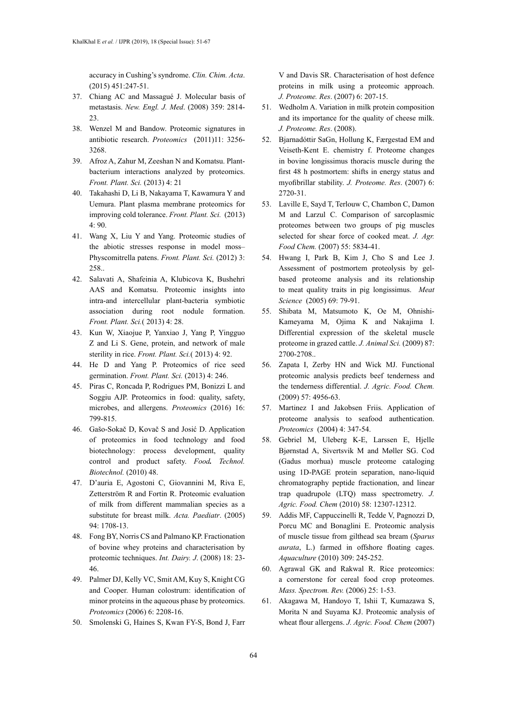accuracy in Cushing's syndrome. *Clin. Chim. Acta*. (2015) 451:247-51.

- 37. Chiang AC and Massagué J. Molecular basis of metastasis. *New. Engl. J. Med*. (2008) 359: 2814- 23.
- 38. Wenzel M and Bandow. Proteomic signatures in antibiotic research. *Proteomics* (2011)11: 3256- 3268.
- 39. Afroz A, Zahur M, Zeeshan N and Komatsu. Plantbacterium interactions analyzed by proteomics. *Front. Plant. Sci.* (2013) 4: 21
- 40. Takahashi D, Li B, Nakayama T, Kawamura Y and Uemura. Plant plasma membrane proteomics for improving cold tolerance. *Front. Plant. Sci.* (2013) 4: 90.
- 41. Wang X, Liu Y and Yang. Proteomic studies of the abiotic stresses response in model moss– Physcomitrella patens. *Front. Plant. Sci.* (2012) 3: 258..
- 42. Salavati A, Shafeinia A, Klubicova K, Bushehri AAS and Komatsu. Proteomic insights into intra-and intercellular plant-bacteria symbiotic association during root nodule formation. *Front. Plant. Sci.*( 2013) 4: 28.
- 43. Kun W, Xiaojue P, Yanxiao J, Yang P, Yingguo Z and Li S. Gene, protein, and network of male sterility in rice. *Front. Plant. Sci.*( 2013) 4: 92.
- 44. He D and Yang P. Proteomics of rice seed germination. *Front. Plant. Sci.* (2013) 4: 246.
- 45. Piras C, Roncada P, Rodrigues PM, Bonizzi L and Soggiu AJP. Proteomics in food: quality, safety, microbes, and allergens. *Proteomics* (2016) 16: 799-815.
- 46. Gašo-Sokač D, Kovač S and Josić D. Application of proteomics in food technology and food biotechnology: process development, quality control and product safety. *Food. Technol. Biotechnol.* (2010) 48.
- 47. D'auria E, Agostoni C, Giovannini M, Riva E, Zetterström R and Fortin R. Proteomic evaluation of milk from different mammalian species as a substitute for breast milk. *Acta. Paediatr*. (2005) 94: 1708-13.
- 48. Fong BY, Norris CS and Palmano KP. Fractionation of bovine whey proteins and characterisation by proteomic techniques. *Int. Dairy. J*. (2008) 18: 23- 46.
- 49. Palmer DJ, Kelly VC, Smit AM, Kuy S, Knight CG and Cooper. Human colostrum: identification of minor proteins in the aqueous phase by proteomics. *Proteomics* (2006) 6: 2208-16.
- 50. Smolenski G, Haines S, Kwan FY-S, Bond J, Farr

V and Davis SR. Characterisation of host defence proteins in milk using a proteomic approach. *J. Proteome. Res*. (2007) 6: 207-15.

- 51. Wedholm A. Variation in milk protein composition and its importance for the quality of cheese milk. *J. Proteome. Res*. (2008).
- 52. Bjarnadóttir SaGn, Hollung K, Færgestad EM and Veiseth-Kent E. chemistry f. Proteome changes in bovine longissimus thoracis muscle during the first 48 h postmortem: shifts in energy status and myofibrillar stability. *J. Proteome. Res*. (2007) 6: 2720-31.
- 53. Laville E, Sayd T, Terlouw C, Chambon C, Damon M and Larzul C. Comparison of sarcoplasmic proteomes between two groups of pig muscles selected for shear force of cooked meat. *J. Agr. Food Chem.* (2007) 55: 5834-41.
- 54. Hwang I, Park B, Kim J, Cho S and Lee J. Assessment of postmortem proteolysis by gelbased proteome analysis and its relationship to meat quality traits in pig longissimus. *Meat Science* (2005) 69: 79-91.
- 55. Shibata M, Matsumoto K, Oe M, Ohnishi-Kameyama M, Ojima K and Nakajima I. Differential expression of the skeletal muscle proteome in grazed cattle. *J. Animal Sci.* (2009) 87: 2700-2708..
- 56. Zapata I, Zerby HN and Wick MJ. Functional proteomic analysis predicts beef tenderness and the tenderness differential. *J. Agric. Food. Chem.* (2009) 57: 4956-63.
- 57. Martinez I and Jakobsen Friis. Application of proteome analysis to seafood authentication. *Proteomics* (2004) 4: 347-54.
- 58. Gebriel M, Uleberg K-E, Larssen E, Hjelle Bjørnstad A, Sivertsvik M and Møller SG. Cod (Gadus morhua) muscle proteome cataloging using 1D-PAGE protein separation, nano-liquid chromatography peptide fractionation, and linear trap quadrupole (LTQ) mass spectrometry. *J. Agric. Food. Chem* (2010) 58: 12307-12312.
- 59. Addis MF, Cappuccinelli R, Tedde V, Pagnozzi D, Porcu MC and Bonaglini E. Proteomic analysis of muscle tissue from gilthead sea bream (*Sparus aurata*, L.) farmed in offshore floating cages. *Aquaculture* (2010) 309: 245-252.
- 60. Agrawal GK and Rakwal R. Rice proteomics: a cornerstone for cereal food crop proteomes. *Mass. Spectrom. Rev.* (2006) 25: 1-53.
- 61. Akagawa M, Handoyo T, Ishii T, Kumazawa S, Morita N and Suyama KJ. Proteomic analysis of wheat flour allergens. *J. Agric. Food. Chem* (2007)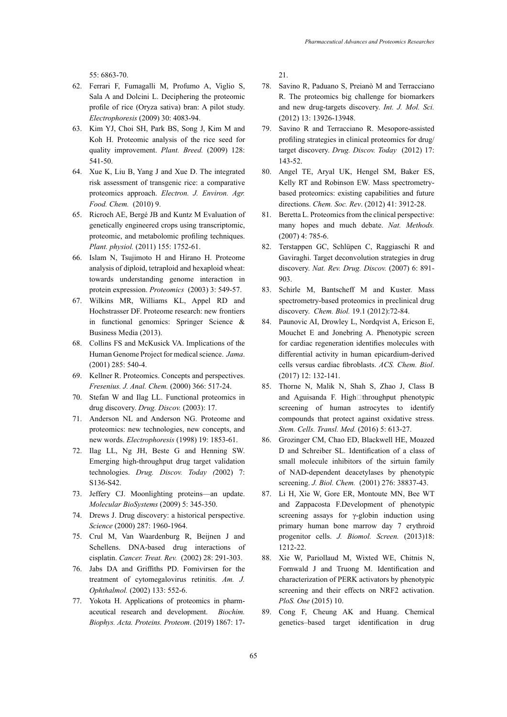55: 6863-70.

- 62. Ferrari F, Fumagalli M, Profumo A, Viglio S, Sala A and Dolcini L. Deciphering the proteomic profile of rice (Oryza sativa) bran: A pilot study. *Electrophoresis* (2009) 30: 4083-94.
- 63. Kim YJ, Choi SH, Park BS, Song J, Kim M and Koh H. Proteomic analysis of the rice seed for quality improvement. *Plant. Breed.* (2009) 128: 541-50.
- 64. Xue K, Liu B, Yang J and Xue D. The integrated risk assessment of transgenic rice: a comparative proteomics approach. *Electron. J. Environ. Agr. Food. Chem.* (2010) 9.
- 65. Ricroch AE, Bergé JB and Kuntz M Evaluation of genetically engineered crops using transcriptomic, proteomic, and metabolomic profiling techniques. *Plant. physiol.* (2011) 155: 1752-61.
- 66. Islam N, Tsujimoto H and Hirano H. Proteome analysis of diploid, tetraploid and hexaploid wheat: towards understanding genome interaction in protein expression. *Proteomics* (2003) 3: 549-57.
- 67. Wilkins MR, Williams KL, Appel RD and Hochstrasser DF. Proteome research: new frontiers in functional genomics: Springer Science & Business Media (2013).
- 68. Collins FS and McKusick VA. Implications of the Human Genome Project for medical science. *Jama*. (2001) 285: 540-4.
- 69. Kellner R. Proteomics. Concepts and perspectives. *Fresenius. J. Anal. Chem.* (2000) 366: 517-24.
- 70. Stefan W and Ilag LL. Functional proteomics in drug discovery. *Drug. Discov.* (2003): 17.
- 71. Anderson NL and Anderson NG. Proteome and proteomics: new technologies, new concepts, and new words. *Electrophoresis* (1998) 19: 1853-61.
- 72. Ilag LL, Ng JH, Beste G and Henning SW. Emerging high-throughput drug target validation technologies. *Drug. Discov. Today (*2002) 7: S136-S42.
- 73. Jeffery CJ. Moonlighting proteins—an update. *Molecular BioSystems* (2009) 5: 345-350.
- 74. Drews J. Drug discovery: a historical perspective. *Science* (2000) 287: 1960-1964.
- 75. Crul M, Van Waardenburg R, Beijnen J and Schellens. DNA-based drug interactions of cisplatin. *Cancer. Treat. Rev.* (2002) 28: 291-303.
- 76. Jabs DA and Griffiths PD. Fomivirsen for the treatment of cytomegalovirus retinitis. *Am. J. Ophthalmol.* (2002) 133: 552-6.
- 77. Yokota H. Applications of proteomics in pharmaceutical research and development. *Biochim. Biophys. Acta. Proteins. Proteom*. (2019) 1867: 17-

21.

- 78. Savino R, Paduano S, Preianò M and Terracciano R. The proteomics big challenge for biomarkers and new drug-targets discovery. *Int. J. Mol. Sci.* (2012) 13: 13926-13948.
- 79. Savino R and Terracciano R. Mesopore-assisted profiling strategies in clinical proteomics for drug/ target discovery. *Drug. Discov. Today* (2012) 17: 143-52.
- 80. Angel TE, Aryal UK, Hengel SM, Baker ES, Kelly RT and Robinson EW. Mass spectrometrybased proteomics: existing capabilities and future directions. *Chem. Soc. Rev*. (2012) 41: 3912-28.
- 81. Beretta L. Proteomics from the clinical perspective: many hopes and much debate. *Nat. Methods.* (2007) 4: 785-6.
- 82. Terstappen GC, Schlüpen C, Raggiaschi R and Gaviraghi. Target deconvolution strategies in drug discovery. *Nat. Rev. Drug. Discov.* (2007) 6: 891- 903.
- 83. Schirle M, Bantscheff M and Kuster. Mass spectrometry-based proteomics in preclinical drug discovery. *Chem. Biol.* 19.1 (2012):72-84.
- 84. Paunovic AI, Drowley L, Nordqvist A, Ericson E, Mouchet E and Jonebring A. Phenotypic screen for cardiac regeneration identifies molecules with differential activity in human epicardium-derived cells versus cardiac fibroblasts. *ACS. Chem. Biol*. (2017) 12: 132-141.
- 85. Thorne N, Malik N, Shah S, Zhao J, Class B and Aguisanda F. High $\Box$ throughput phenotypic screening of human astrocytes to identify compounds that protect against oxidative stress. *Stem. Cells. Transl. Med.* (2016) 5: 613-27.
- 86. Grozinger CM, Chao ED, Blackwell HE, Moazed D and Schreiber SL. Identification of a class of small molecule inhibitors of the sirtuin family of NAD-dependent deacetylases by phenotypic screening. *J. Biol. Chem.* (2001) 276: 38837-43.
- 87. Li H, Xie W, Gore ER, Montoute MN, Bee WT and Zappacosta F.Development of phenotypic screening assays for γ-globin induction using primary human bone marrow day 7 erythroid progenitor cells. *J. Biomol. Screen.* (2013)18: 1212-22.
- 88. Xie W, Pariollaud M, Wixted WE, Chitnis N, Fornwald J and Truong M. Identification and characterization of PERK activators by phenotypic screening and their effects on NRF2 activation. *PloS. One* (2015) 10.
- 89. Cong F, Cheung AK and Huang. Chemical genetics–based target identification in drug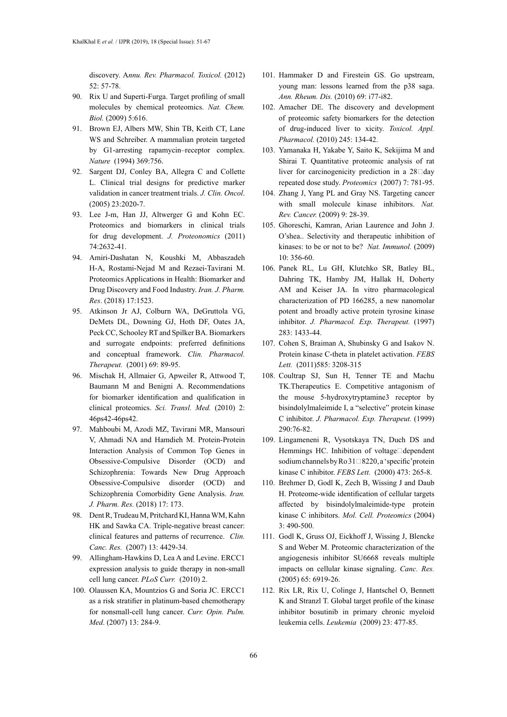discovery. A*nnu. Rev. Pharmacol. Toxicol.* (2012) 52: 57-78.

- 90. Rix U and Superti-Furga. Target profiling of small molecules by chemical proteomics. *Nat. Chem. Biol.* (2009) 5:616.
- 91. Brown EJ, Albers MW, Shin TB, Keith CT, Lane WS and Schreiber. A mammalian protein targeted by G1-arresting rapamycin–receptor complex. *Nature* (1994) 369:756.
- 92. Sargent DJ, Conley BA, Allegra C and Collette L. Clinical trial designs for predictive marker validation in cancer treatment trials. *J. Clin. Oncol*. (2005) 23:2020-7.
- 93. Lee J-m, Han JJ, Altwerger G and Kohn EC. Proteomics and biomarkers in clinical trials for drug development. *J. Proteonomics* (2011) 74:2632-41.
- 94. Amiri-Dashatan N, Koushki M, Abbaszadeh H-A, Rostami-Nejad M and Rezaei-Tavirani M. Proteomics Applications in Health: Biomarker and Drug Discovery and Food Industry. *Iran. J. Pharm. Res*. (2018) 17:1523.
- 95. Atkinson Jr AJ, Colburn WA, DeGruttola VG, DeMets DL, Downing GJ, Hoth DF, Oates JA, Peck CC, Schooley RT and Spilker BA. Biomarkers and surrogate endpoints: preferred definitions and conceptual framework. *Clin. Pharmacol. Therapeut.* (2001) 69: 89-95.
- 96. Mischak H, Allmaier G, Apweiler R, Attwood T, Baumann M and Benigni A. Recommendations for biomarker identification and qualification in clinical proteomics. *Sci. Transl. Med.* (2010) 2: 46ps42-46ps42.
- 97. Mahboubi M, Azodi MZ, Tavirani MR, Mansouri V, Ahmadi NA and Hamdieh M. Protein-Protein Interaction Analysis of Common Top Genes in Obsessive-Compulsive Disorder (OCD) and Schizophrenia: Towards New Drug Approach Obsessive-Compulsive disorder (OCD) and Schizophrenia Comorbidity Gene Analysis. *Iran. J. Pharm. Res.* (2018) 17: 173.
- 98. Dent R, Trudeau M, Pritchard KI, Hanna WM, Kahn HK and Sawka CA. Triple-negative breast cancer: clinical features and patterns of recurrence. *Clin. Canc. Res.* (2007) 13: 4429-34.
- 99. Allingham-Hawkins D, Lea A and Levine. ERCC1 expression analysis to guide therapy in non-small cell lung cancer. *PLoS Curr.* (2010) 2.
- 100. Olaussen KA, Mountzios G and Soria JC. ERCC1 as a risk stratifier in platinum-based chemotherapy for nonsmall-cell lung cancer. *Curr. Opin. Pulm. Med*. (2007) 13: 284-9.
- 101. Hammaker D and Firestein GS. Go upstream, young man: lessons learned from the p38 saga. *Ann. Rheum. Dis.* (2010) 69: i77-i82.
- 102. Amacher DE. The discovery and development of proteomic safety biomarkers for the detection of drug-induced liver to xicity. *Toxicol. Appl. Pharmacol.* (2010) 245: 134-42.
- 103. Yamanaka H, Yakabe Y, Saito K, Sekijima M and Shirai T. Quantitative proteomic analysis of rat liver for carcinogenicity prediction in a  $28 \Box day$ repeated dose study. *Proteomics* (2007) 7: 781-95.
- 104. Zhang J, Yang PL and Gray NS. Targeting cancer with small molecule kinase inhibitors. *Nat. Rev. Cancer.* (2009) 9: 28-39.
- 105. Ghoreschi, Kamran, Arian Laurence and John J. O'shea.. Selectivity and therapeutic inhibition of kinases: to be or not to be? *Nat. Immunol.* (2009) 10: 356-60.
- 106. Panek RL, Lu GH, Klutchko SR, Batley BL, Dahring TK, Hamby JM, Hallak H, Doherty AM and Keiser JA. In vitro pharmacological characterization of PD 166285, a new nanomolar potent and broadly active protein tyrosine kinase inhibitor. *J. Pharmacol. Exp. Therapeut.* (1997) 283: 1433-44.
- 107. Cohen S, Braiman A, Shubinsky G and Isakov N. Protein kinase C-theta in platelet activation. *FEBS Lett.* (2011)585: 3208-315
- 108. Coultrap SJ, Sun H, Tenner TE and Machu TK.Therapeutics E. Competitive antagonism of the mouse 5-hydroxytryptamine3 receptor by bisindolylmaleimide I, a "selective" protein kinase C inhibitor. *J. Pharmacol. Exp. Therapeut.* (1999) 290:76-82.
- 109. Lingameneni R, Vysotskaya TN, Duch DS and Hemmings HC. Inhibition of voltage□dependent sodium channels by Ro  $31\square 8220$ , a 'specific' protein kinase C inhibitor. *FEBS Lett.* (2000) 473: 265-8.
- 110. Brehmer D, Godl K, Zech B, Wissing J and Daub H. Proteome-wide identification of cellular targets affected by bisindolylmaleimide-type protein kinase C inhibitors. *Mol. Cell. Proteomics* (2004) 3: 490-500.
- 111. Godl K, Gruss OJ, Eickhoff J, Wissing J, Blencke S and Weber M. Proteomic characterization of the angiogenesis inhibitor SU6668 reveals multiple impacts on cellular kinase signaling. *Canc. Res.* (2005) 65: 6919-26.
- 112. Rix LR, Rix U, Colinge J, Hantschel O, Bennett K and Stranzl T. Global target profile of the kinase inhibitor bosutinib in primary chronic myeloid leukemia cells. *Leukemia* (2009) 23: 477-85.